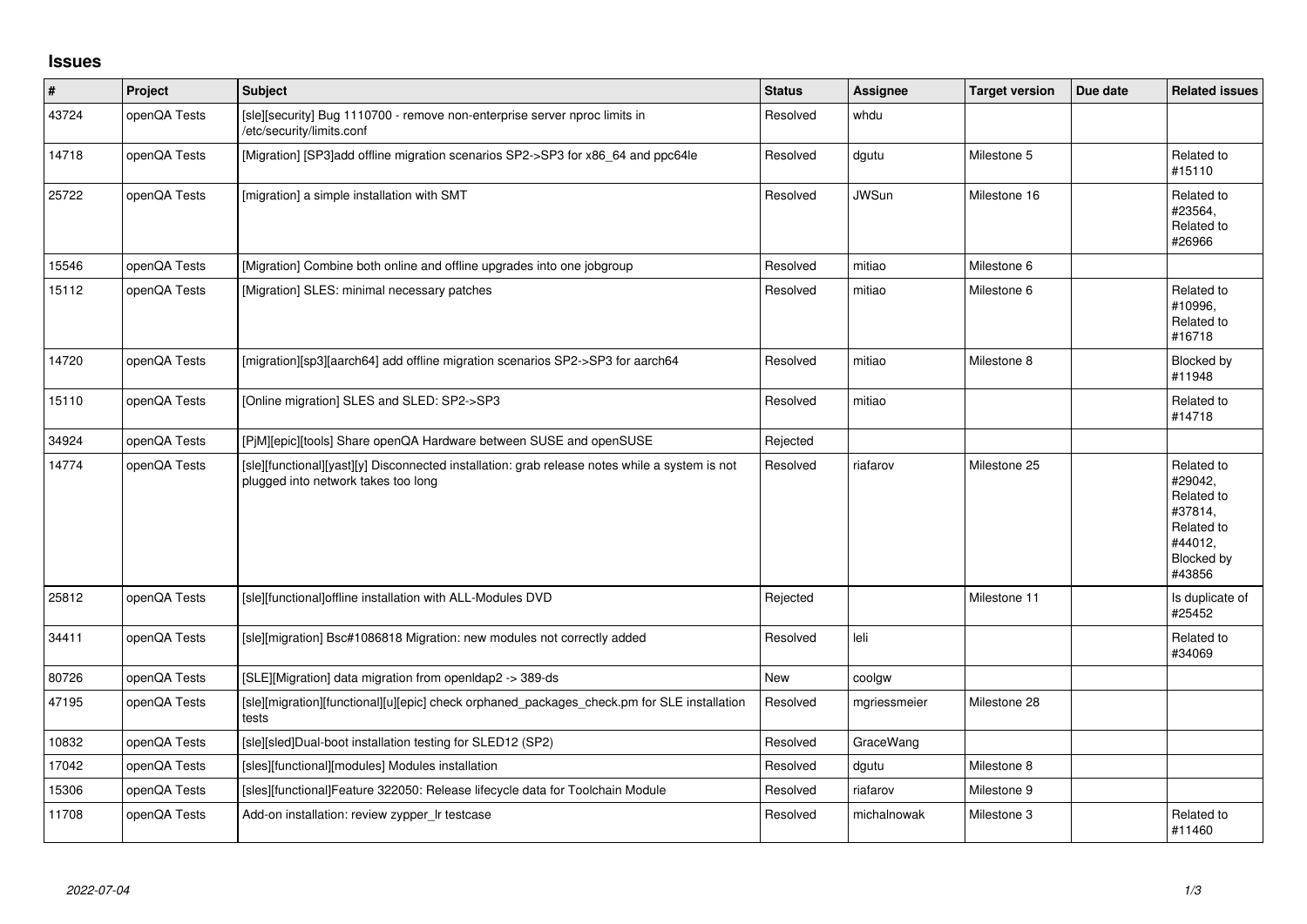## **Issues**

| $\vert$ # | Project      | <b>Subject</b>                                                                                                                        | <b>Status</b> | <b>Assignee</b> | <b>Target version</b> | Due date | <b>Related issues</b>                                                                           |
|-----------|--------------|---------------------------------------------------------------------------------------------------------------------------------------|---------------|-----------------|-----------------------|----------|-------------------------------------------------------------------------------------------------|
| 43724     | openQA Tests | [sle][security] Bug 1110700 - remove non-enterprise server nproc limits in<br>/etc/security/limits.conf                               | Resolved      | whdu            |                       |          |                                                                                                 |
| 14718     | openQA Tests | [Migration] [SP3]add offline migration scenarios SP2->SP3 for x86_64 and ppc64le                                                      | Resolved      | dgutu           | Milestone 5           |          | Related to<br>#15110                                                                            |
| 25722     | openQA Tests | [migration] a simple installation with SMT                                                                                            | Resolved      | <b>JWSun</b>    | Milestone 16          |          | Related to<br>#23564,<br>Related to<br>#26966                                                   |
| 15546     | openQA Tests | [Migration] Combine both online and offline upgrades into one jobgroup                                                                | Resolved      | mitiao          | Milestone 6           |          |                                                                                                 |
| 15112     | openQA Tests | [Migration] SLES: minimal necessary patches                                                                                           | Resolved      | mitiao          | Milestone 6           |          | Related to<br>#10996,<br>Related to<br>#16718                                                   |
| 14720     | openQA Tests | [migration][sp3][aarch64] add offline migration scenarios SP2->SP3 for aarch64                                                        | Resolved      | mitiao          | Milestone 8           |          | Blocked by<br>#11948                                                                            |
| 15110     | openQA Tests | [Online migration] SLES and SLED: SP2->SP3                                                                                            | Resolved      | mitiao          |                       |          | Related to<br>#14718                                                                            |
| 34924     | openQA Tests | [PjM][epic][tools] Share openQA Hardware between SUSE and openSUSE                                                                    | Rejected      |                 |                       |          |                                                                                                 |
| 14774     | openQA Tests | [sle][functional][yast][y] Disconnected installation: grab release notes while a system is not<br>plugged into network takes too long | Resolved      | riafarov        | Milestone 25          |          | Related to<br>#29042,<br>Related to<br>#37814,<br>Related to<br>#44012,<br>Blocked by<br>#43856 |
| 25812     | openQA Tests | [sle][functional]offline installation with ALL-Modules DVD                                                                            | Rejected      |                 | Milestone 11          |          | Is duplicate of<br>#25452                                                                       |
| 34411     | openQA Tests | [sle][migration] Bsc#1086818 Migration: new modules not correctly added                                                               | Resolved      | leli            |                       |          | Related to<br>#34069                                                                            |
| 80726     | openQA Tests | [SLE][Migration] data migration from openIdap2 -> 389-ds                                                                              | New           | coolgw          |                       |          |                                                                                                 |
| 47195     | openQA Tests | [sle][migration][functional][u][epic] check orphaned_packages_check.pm for SLE installation<br>tests                                  | Resolved      | mgriessmeier    | Milestone 28          |          |                                                                                                 |
| 10832     | openQA Tests | [sle][sled]Dual-boot installation testing for SLED12 (SP2)                                                                            | Resolved      | GraceWang       |                       |          |                                                                                                 |
| 17042     | openQA Tests | [sles][functional][modules] Modules installation                                                                                      | Resolved      | dgutu           | Milestone 8           |          |                                                                                                 |
| 15306     | openQA Tests | [sles][functional]Feature 322050: Release lifecycle data for Toolchain Module                                                         | Resolved      | riafarov        | Milestone 9           |          |                                                                                                 |
| 11708     | openQA Tests | Add-on installation: review zypper_Ir testcase                                                                                        | Resolved      | michalnowak     | Milestone 3           |          | Related to<br>#11460                                                                            |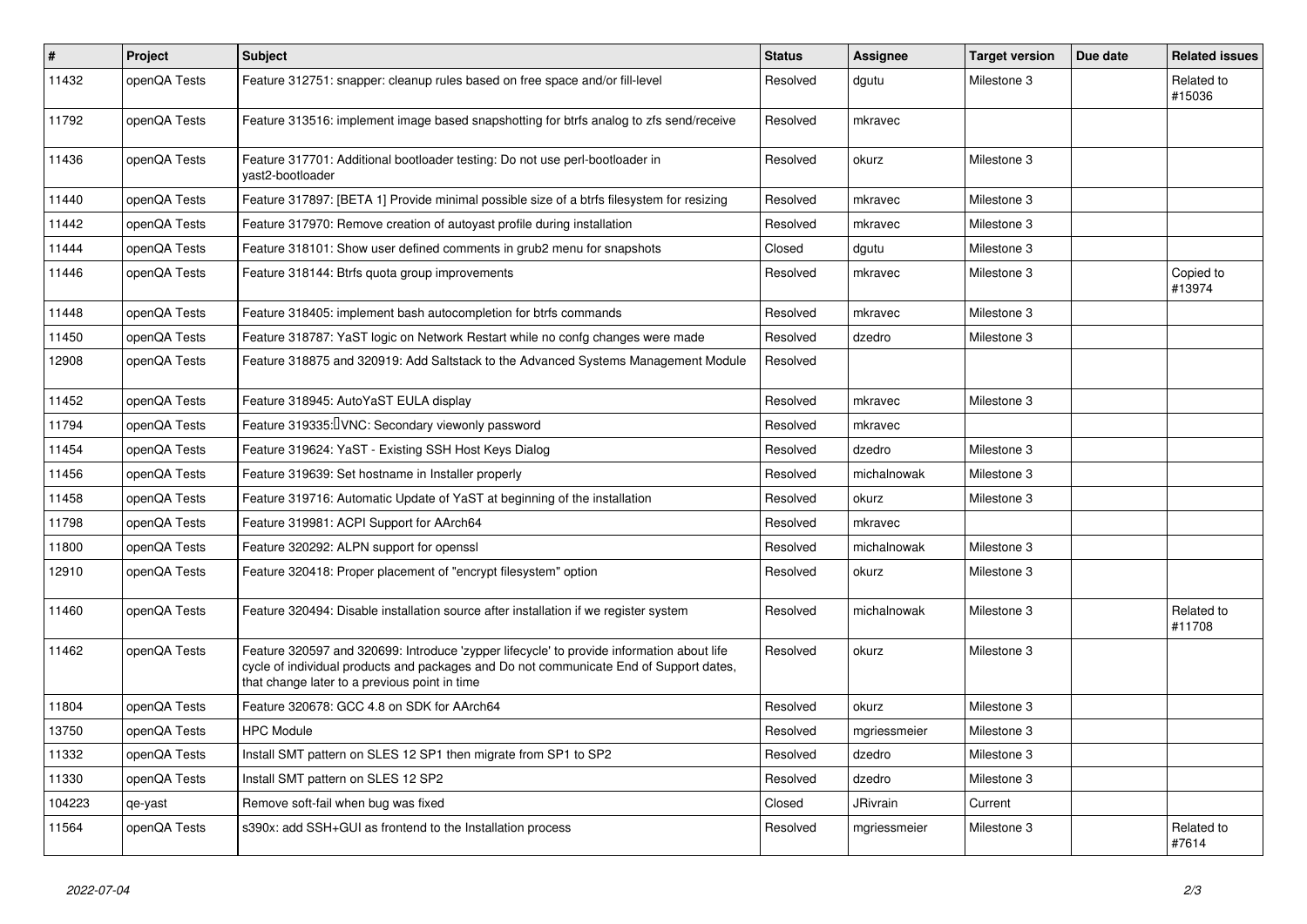| #      | Project      | <b>Subject</b>                                                                                                                                                                                                                       | <b>Status</b> | <b>Assignee</b> | <b>Target version</b> | Due date | <b>Related issues</b> |
|--------|--------------|--------------------------------------------------------------------------------------------------------------------------------------------------------------------------------------------------------------------------------------|---------------|-----------------|-----------------------|----------|-----------------------|
| 11432  | openQA Tests | Feature 312751: snapper: cleanup rules based on free space and/or fill-level                                                                                                                                                         | Resolved      | dgutu           | Milestone 3           |          | Related to<br>#15036  |
| 11792  | openQA Tests | Feature 313516: implement image based snapshotting for btrfs analog to zfs send/receive                                                                                                                                              | Resolved      | mkravec         |                       |          |                       |
| 11436  | openQA Tests | Feature 317701: Additional bootloader testing: Do not use perl-bootloader in<br>vast2-bootloader                                                                                                                                     | Resolved      | okurz           | Milestone 3           |          |                       |
| 11440  | openQA Tests | Feature 317897: [BETA 1] Provide minimal possible size of a btrfs filesystem for resizing                                                                                                                                            | Resolved      | mkravec         | Milestone 3           |          |                       |
| 11442  | openQA Tests | Feature 317970: Remove creation of autoyast profile during installation                                                                                                                                                              | Resolved      | mkravec         | Milestone 3           |          |                       |
| 11444  | openQA Tests | Feature 318101: Show user defined comments in grub2 menu for snapshots                                                                                                                                                               | Closed        | dgutu           | Milestone 3           |          |                       |
| 11446  | openQA Tests | Feature 318144: Btrfs quota group improvements                                                                                                                                                                                       | Resolved      | mkravec         | Milestone 3           |          | Copied to<br>#13974   |
| 11448  | openQA Tests | Feature 318405: implement bash autocompletion for btrfs commands                                                                                                                                                                     | Resolved      | mkravec         | Milestone 3           |          |                       |
| 11450  | openQA Tests | Feature 318787: YaST logic on Network Restart while no confg changes were made                                                                                                                                                       | Resolved      | dzedro          | Milestone 3           |          |                       |
| 12908  | openQA Tests | Feature 318875 and 320919: Add Saltstack to the Advanced Systems Management Module                                                                                                                                                   | Resolved      |                 |                       |          |                       |
| 11452  | openQA Tests | Feature 318945: AutoYaST EULA display                                                                                                                                                                                                | Resolved      | mkravec         | Milestone 3           |          |                       |
| 11794  | openQA Tests | Feature 319335: IVNC: Secondary viewonly password                                                                                                                                                                                    | Resolved      | mkravec         |                       |          |                       |
| 11454  | openQA Tests | Feature 319624: YaST - Existing SSH Host Keys Dialog                                                                                                                                                                                 | Resolved      | dzedro          | Milestone 3           |          |                       |
| 11456  | openQA Tests | Feature 319639: Set hostname in Installer properly                                                                                                                                                                                   | Resolved      | michalnowak     | Milestone 3           |          |                       |
| 11458  | openQA Tests | Feature 319716: Automatic Update of YaST at beginning of the installation                                                                                                                                                            | Resolved      | okurz           | Milestone 3           |          |                       |
| 11798  | openQA Tests | Feature 319981: ACPI Support for AArch64                                                                                                                                                                                             | Resolved      | mkravec         |                       |          |                       |
| 11800  | openQA Tests | Feature 320292: ALPN support for openssl                                                                                                                                                                                             | Resolved      | michalnowak     | Milestone 3           |          |                       |
| 12910  | openQA Tests | Feature 320418: Proper placement of "encrypt filesystem" option                                                                                                                                                                      | Resolved      | okurz           | Milestone 3           |          |                       |
| 11460  | openQA Tests | Feature 320494: Disable installation source after installation if we register system                                                                                                                                                 | Resolved      | michalnowak     | Milestone 3           |          | Related to<br>#11708  |
| 11462  | openQA Tests | Feature 320597 and 320699: Introduce 'zypper lifecycle' to provide information about life<br>cycle of individual products and packages and Do not communicate End of Support dates,<br>that change later to a previous point in time | Resolved      | okurz           | Milestone 3           |          |                       |
| 11804  | openQA Tests | Feature 320678: GCC 4.8 on SDK for AArch64                                                                                                                                                                                           | Resolved      | okurz           | Milestone 3           |          |                       |
| 13750  | openQA Tests | <b>HPC Module</b>                                                                                                                                                                                                                    | Resolved      | mgriessmeier    | Milestone 3           |          |                       |
| 11332  | openQA Tests | Install SMT pattern on SLES 12 SP1 then migrate from SP1 to SP2                                                                                                                                                                      | Resolved      | dzedro          | Milestone 3           |          |                       |
| 11330  | openQA Tests | Install SMT pattern on SLES 12 SP2                                                                                                                                                                                                   | Resolved      | dzedro          | Milestone 3           |          |                       |
| 104223 | qe-yast      | Remove soft-fail when bug was fixed                                                                                                                                                                                                  | Closed        | JRivrain        | Current               |          |                       |
| 11564  | openQA Tests | s390x: add SSH+GUI as frontend to the Installation process                                                                                                                                                                           | Resolved      | mgriessmeier    | Milestone 3           |          | Related to<br>#7614   |